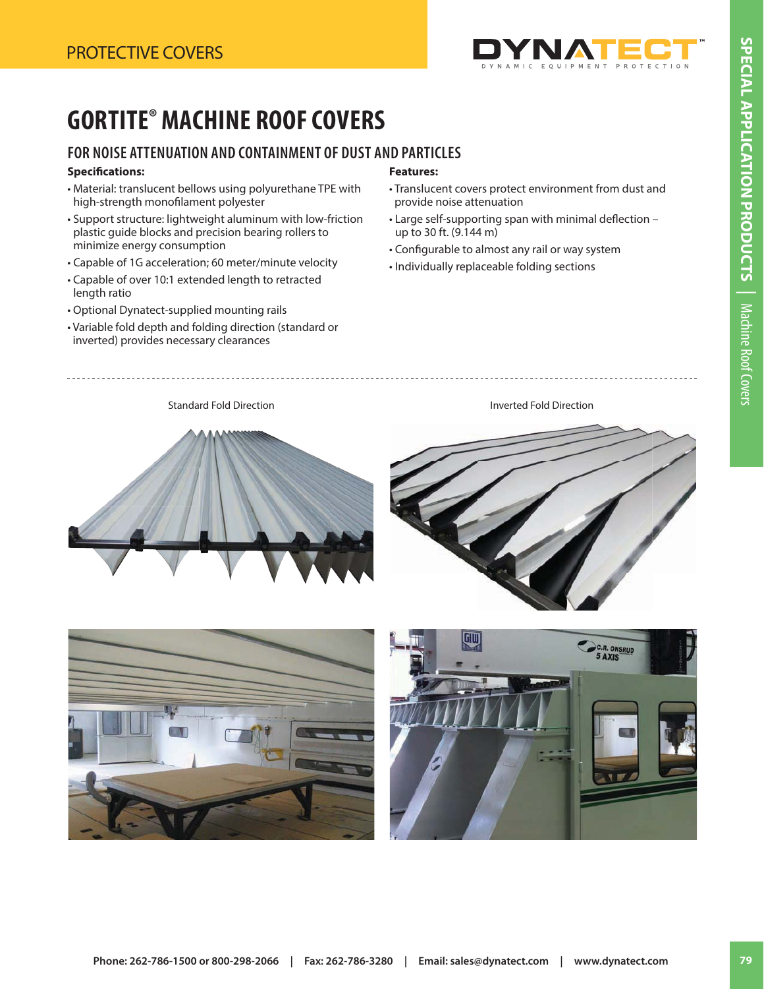

# **GORTITE® MACHINE ROOF COVERS**

### **FOR NOISE ATTENUATION AND CONTAINMENT OF DUST AND PARTICLES**

#### **Specifi cations:**

- Material: translucent bellows using polyurethane TPE with high-strength monofilament polyester
- Support structure: lightweight aluminum with low-friction plastic guide blocks and precision bearing rollers to minimize energy consumption
- Capable of 1G acceleration; 60 meter/minute velocity
- Capable of over 10:1 extended length to retracted length ratio
- Optional Dynatect-supplied mounting rails
- Variable fold depth and folding direction (standard or inverted) provides necessary clearances

#### **Features:**

Standard Fold Direction **Inverted Fold Direction Inverted Fold Direction** 

- Translucent covers protect environment from dust and provide noise attenuation
- Large self-supporting span with minimal deflection up to 30 ft. (9.144 m)
- Configurable to almost any rail or way system
- Individually replaceable folding sections





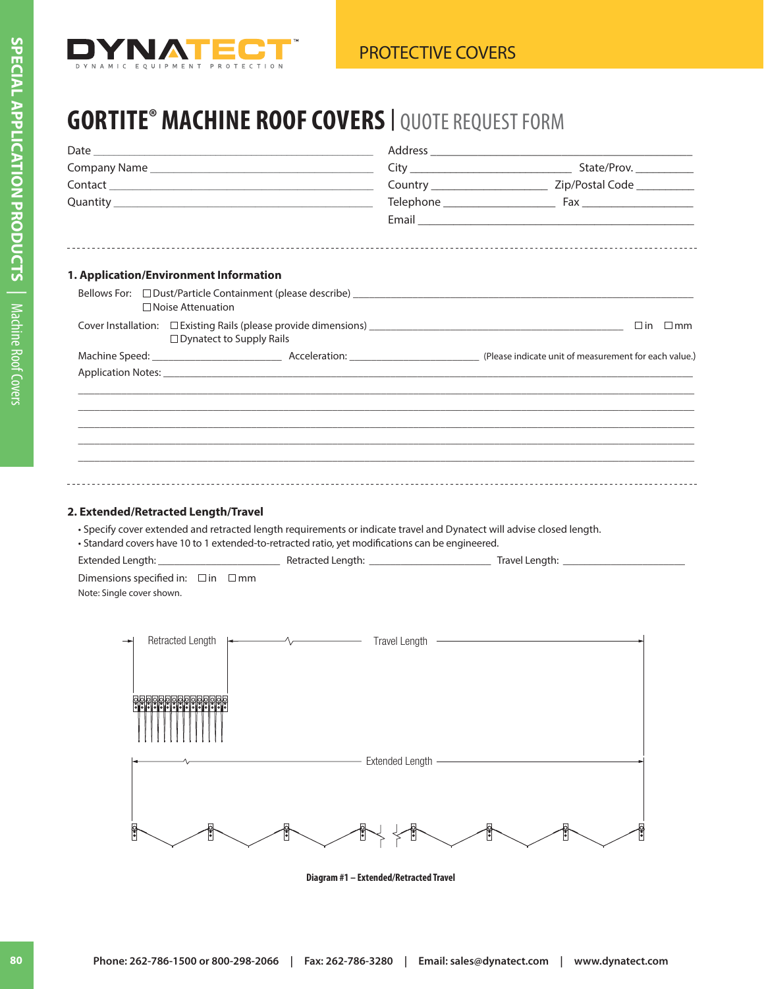

### **GORTITE® MACHINE ROOF COVERS<sup>|</sup>** QUOTE REQUEST FORM

| 1. Application/Environment Information       |                                                        |                                                                                                                                                                                                                           |                        |  |                     |  |
|----------------------------------------------|--------------------------------------------------------|---------------------------------------------------------------------------------------------------------------------------------------------------------------------------------------------------------------------------|------------------------|--|---------------------|--|
|                                              | □ Noise Attenuation<br>$\Box$ Dynatect to Supply Rails |                                                                                                                                                                                                                           |                        |  | $\Box$ in $\Box$ mm |  |
|                                              |                                                        |                                                                                                                                                                                                                           |                        |  |                     |  |
|                                              |                                                        |                                                                                                                                                                                                                           |                        |  |                     |  |
|                                              |                                                        |                                                                                                                                                                                                                           |                        |  |                     |  |
|                                              |                                                        |                                                                                                                                                                                                                           |                        |  |                     |  |
|                                              |                                                        |                                                                                                                                                                                                                           |                        |  |                     |  |
|                                              |                                                        |                                                                                                                                                                                                                           |                        |  |                     |  |
|                                              |                                                        |                                                                                                                                                                                                                           |                        |  |                     |  |
|                                              |                                                        |                                                                                                                                                                                                                           |                        |  |                     |  |
| 2. Extended/Retracted Length/Travel          |                                                        | • Specify cover extended and retracted length requirements or indicate travel and Dynatect will advise closed length.<br>• Standard covers have 10 to 1 extended-to-retracted ratio, yet modifications can be engineered. |                        |  |                     |  |
| Dimensions specified in: $\Box$ in $\Box$ mm |                                                        |                                                                                                                                                                                                                           |                        |  |                     |  |
| Note: Single cover shown.                    |                                                        |                                                                                                                                                                                                                           |                        |  |                     |  |
|                                              |                                                        |                                                                                                                                                                                                                           |                        |  |                     |  |
|                                              |                                                        |                                                                                                                                                                                                                           |                        |  |                     |  |
|                                              |                                                        |                                                                                                                                                                                                                           |                        |  |                     |  |
|                                              |                                                        |                                                                                                                                                                                                                           |                        |  |                     |  |
|                                              |                                                        |                                                                                                                                                                                                                           |                        |  |                     |  |
|                                              | وواوا والواوا والواح والمالوات                         |                                                                                                                                                                                                                           |                        |  |                     |  |
|                                              |                                                        |                                                                                                                                                                                                                           |                        |  |                     |  |
|                                              |                                                        |                                                                                                                                                                                                                           |                        |  |                     |  |
|                                              |                                                        |                                                                                                                                                                                                                           | <b>Extended Length</b> |  |                     |  |
|                                              |                                                        |                                                                                                                                                                                                                           |                        |  |                     |  |
|                                              |                                                        |                                                                                                                                                                                                                           |                        |  |                     |  |
|                                              |                                                        |                                                                                                                                                                                                                           |                        |  |                     |  |
| $\frac{1}{2}$                                |                                                        |                                                                                                                                                                                                                           |                        |  |                     |  |
|                                              |                                                        |                                                                                                                                                                                                                           |                        |  |                     |  |

**Diagram #1 – Extended/Retracted Travel**